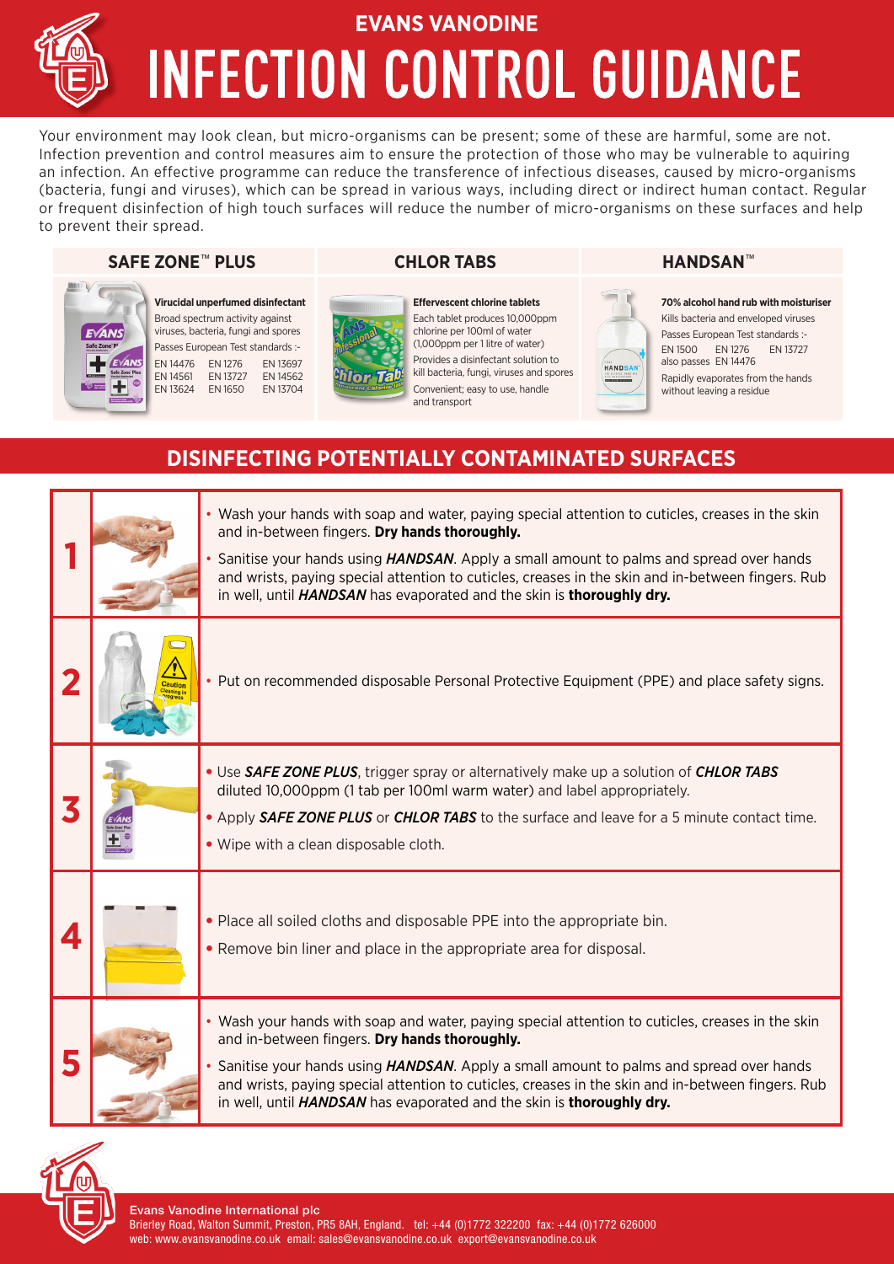# INFECTION CONTROL GUIDANCE **EVANS VANODINE**

Your environment may look clean, but micro-organisms can be present; some of these are harmful, some are not. Infection prevention and control measures aim to ensure the protection of those who may be vulnerable to aquiring an infection. An effective programme can reduce the transference of infectious diseases, caused by micro-organisms (bacteria, fungi and viruses), which can be spread in various ways, including direct or indirect human contact. Regular or frequent disinfection of high touch surfaces will reduce the number of micro-organisms on these surfaces and help to prevent their spread.

### **SAFE ZONE**™ **PLUS CHLOR TABS HANDSAN**™



**Virucidal unperfumed disinfectant** Broad spectrum activity against viruses, bacteria, fungi and spores Passes European Test standards :- EN 14476 EN 1276 EN 13697 EN 14561 EN 13727 EN 14562<br>EN 13624 EN 1650 EN 13704 EN 13624 EN 1650

**Effervescent chlorine tablets** Each tablet produces 10,000ppm chlorine per 100ml of water (1,000ppm per 1 litre of water) Provides a disinfectant solution to kill bacteria, fungi, viruses and spores Convenient; easy to use, handle and transport



**70% alcohol hand rub with moisturiser** Kills bacteria and enveloped viruses Passes European Test standards :- EN 1500 EN 1276 EN 13727 also passes EN 14476 Rapidly evaporates from the hands without leaving a residue

### **DISINFECTING POTENTIALLY CONTAMINATED SURFACES**

hlar

|                  |         | . Wash your hands with soap and water, paying special attention to cuticles, creases in the skin<br>and in-between fingers. Dry hands thoroughly.<br>Sanitise your hands using HANDSAN. Apply a small amount to palms and spread over hands<br>and wrists, paying special attention to cuticles, creases in the skin and in-between fingers. Rub<br>in well, until HANDSAN has evaporated and the skin is thoroughly dry.           |
|------------------|---------|-------------------------------------------------------------------------------------------------------------------------------------------------------------------------------------------------------------------------------------------------------------------------------------------------------------------------------------------------------------------------------------------------------------------------------------|
|                  | Cautior | . Put on recommended disposable Personal Protective Equipment (PPE) and place safety signs.                                                                                                                                                                                                                                                                                                                                         |
|                  |         | • Use SAFE ZONE PLUS, trigger spray or alternatively make up a solution of CHLOR TABS<br>diluted 10,000ppm (1 tab per 100ml warm water) and label appropriately.<br>. Apply SAFE ZONE PLUS or CHLOR TABS to the surface and leave for a 5 minute contact time.<br>• Wipe with a clean disposable cloth.                                                                                                                             |
| $\blacktriangle$ |         | • Place all soiled cloths and disposable PPE into the appropriate bin.<br>• Remove bin liner and place in the appropriate area for disposal.                                                                                                                                                                                                                                                                                        |
|                  |         | • Wash your hands with soap and water, paying special attention to cuticles, creases in the skin<br>and in-between fingers. Dry hands thoroughly.<br>• Sanitise your hands using <i>HANDSAN</i> . Apply a small amount to palms and spread over hands<br>and wrists, paying special attention to cuticles, creases in the skin and in-between fingers. Rub<br>in well, until HANDSAN has evaporated and the skin is thoroughly dry. |